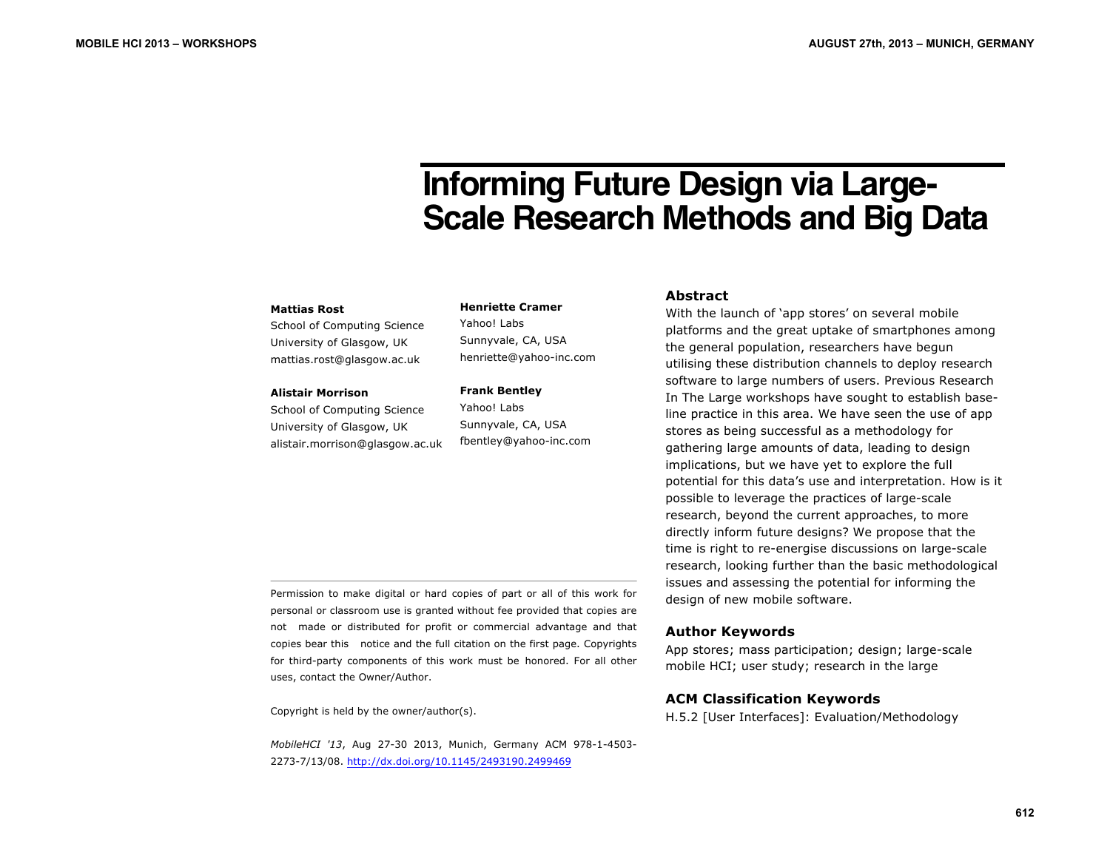# **Informing Future Design via Large-Scale Research Methods and Big Data**

#### **Mattias Rost**

School of Computing Science University of Glasgow, UK mattias.rost@glasgow.ac.uk

#### **Alistair Morrison**

School of Computing Science University of Glasgow, UK alistair.morrison@glasgow.ac.uk

#### **Henriette Cramer**

Yahoo! Labs Sunnyvale, CA, USA henriette@yahoo-inc.com

#### **Frank Bentley**

Yahoo! Labs Sunnyvale, CA, USA fbentley@yahoo-inc.com

## **Abstract**

With the launch of 'app stores' on several mobile platforms and the great uptake of smartphones among the general population, researchers have begun utilising these distribution channels to deploy research software to large numbers of users. Previous Research In The Large workshops have sought to establish baseline practice in this area. We have seen the use of app stores as being successful as a methodology for gathering large amounts of data, leading to design implications, but we have yet to explore the full potential for this data's use and interpretation. How is it possible to leverage the practices of large-scale research, beyond the current approaches, to more directly inform future designs? We propose that the time is right to re-energise discussions on large-scale research, looking further than the basic methodological issues and assessing the potential for informing the design of new mobile software.

## **Author Keywords**

App stores; mass participation; design; large-scale mobile HCI; user study; research in the large

## **ACM Classification Keywords**

H.5.2 [User Interfaces]: Evaluation/Methodology

Permission to make digital or hard copies of part or all of this work for personal or classroom use is granted without fee provided that copies are not made or distributed for profit or commercial advantage and that copies bear this notice and the full citation on the first page. Copyrights for third-party components of this work must be honored. For all other uses, contact the Owner/Author.

Copyright is held by the owner/author(s).

*MobileHCI '13*, Aug 27-30 2013, Munich, Germany ACM 978-1-4503- 2273-7/13/08. http://dx.doi.org/10.1145/2493190.2499469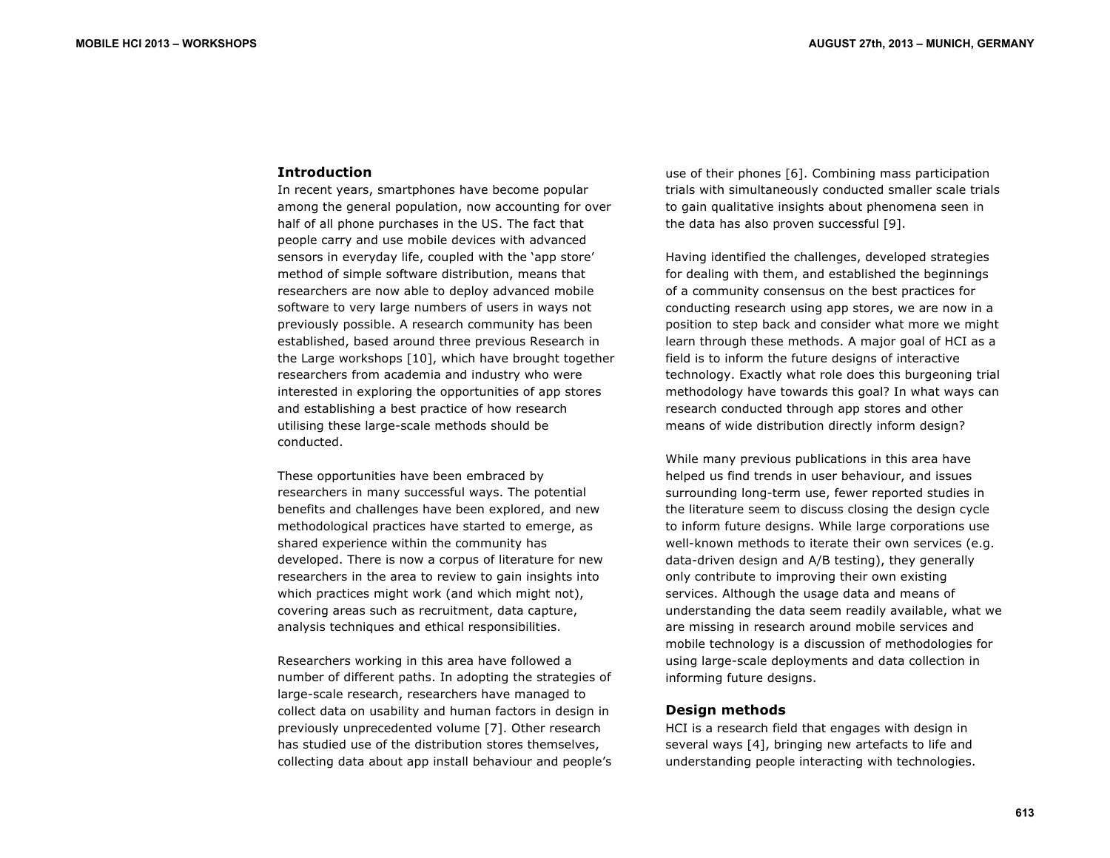## **Introduction**

In recent years, smartphones have become popular among the general population, now accounting for over half of all phone purchases in the US. The fact that people carry and use mobile devices with advanced sensors in everyday life, coupled with the 'app store' method of simple software distribution, means that researchers are now able to deploy advanced mobile software to very large numbers of users in ways not previously possible. A research community has been established, based around three previous Research in the Large workshops [10], which have brought together researchers from academia and industry who were interested in exploring the opportunities of app stores and establishing a best practice of how research utilising these large-scale methods should be conducted.

These opportunities have been embraced by researchers in many successful ways. The potential benefits and challenges have been explored, and new methodological practices have started to emerge, as shared experience within the community has developed. There is now a corpus of literature for new researchers in the area to review to gain insights into which practices might work (and which might not), covering areas such as recruitment, data capture, analysis techniques and ethical responsibilities.

Researchers working in this area have followed a number of different paths. In adopting the strategies of large-scale research, researchers have managed to collect data on usability and human factors in design in previously unprecedented volume [7]. Other research has studied use of the distribution stores themselves, collecting data about app install behaviour and people's use of their phones [6]. Combining mass participation trials with simultaneously conducted smaller scale trials to gain qualitative insights about phenomena seen in the data has also proven successful [9].

Having identified the challenges, developed strategies for dealing with them, and established the beginnings of a community consensus on the best practices for conducting research using app stores, we are now in a position to step back and consider what more we might learn through these methods. A major goal of HCI as a field is to inform the future designs of interactive technology. Exactly what role does this burgeoning trial methodology have towards this goal? In what ways can research conducted through app stores and other means of wide distribution directly inform design?

While many previous publications in this area have helped us find trends in user behaviour, and issues surrounding long-term use, fewer reported studies in the literature seem to discuss closing the design cycle to inform future designs. While large corporations use well-known methods to iterate their own services (e.g. data-driven design and A/B testing), they generally only contribute to improving their own existing services. Although the usage data and means of understanding the data seem readily available, what we are missing in research around mobile services and mobile technology is a discussion of methodologies for using large-scale deployments and data collection in informing future designs.

## **Design methods**

HCI is a research field that engages with design in several ways [4], bringing new artefacts to life and understanding people interacting with technologies.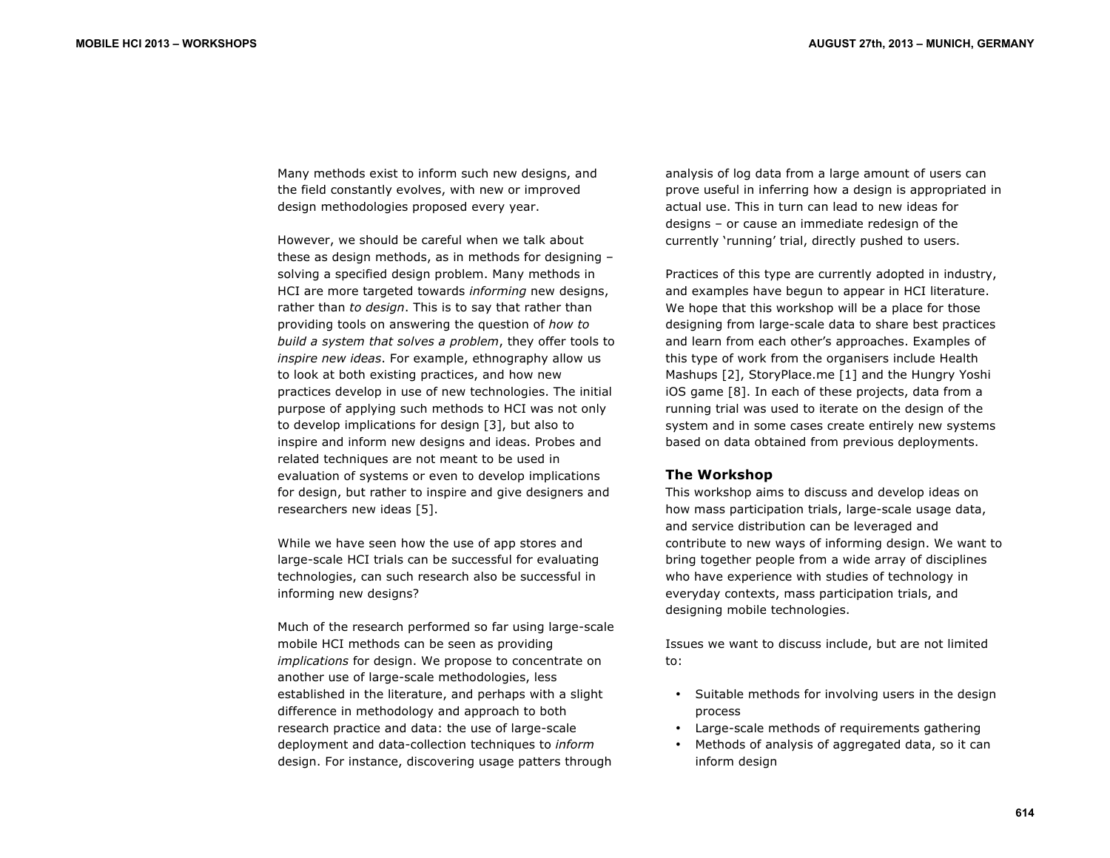Many methods exist to inform such new designs, and the field constantly evolves, with new or improved design methodologies proposed every year.

However, we should be careful when we talk about these as design methods, as in methods for designing – solving a specified design problem. Many methods in HCI are more targeted towards *informing* new designs, rather than *to design*. This is to say that rather than providing tools on answering the question of *how to build a system that solves a problem*, they offer tools to *inspire new ideas*. For example, ethnography allow us to look at both existing practices, and how new practices develop in use of new technologies. The initial purpose of applying such methods to HCI was not only to develop implications for design [3], but also to inspire and inform new designs and ideas. Probes and related techniques are not meant to be used in evaluation of systems or even to develop implications for design, but rather to inspire and give designers and researchers new ideas [5].

While we have seen how the use of app stores and large-scale HCI trials can be successful for evaluating technologies, can such research also be successful in informing new designs?

Much of the research performed so far using large-scale mobile HCI methods can be seen as providing *implications* for design. We propose to concentrate on another use of large-scale methodologies, less established in the literature, and perhaps with a slight difference in methodology and approach to both research practice and data: the use of large-scale deployment and data-collection techniques to *inform* design. For instance, discovering usage patters through

analysis of log data from a large amount of users can prove useful in inferring how a design is appropriated in actual use. This in turn can lead to new ideas for designs – or cause an immediate redesign of the currently 'running' trial, directly pushed to users.

Practices of this type are currently adopted in industry, and examples have begun to appear in HCI literature. We hope that this workshop will be a place for those designing from large-scale data to share best practices and learn from each other's approaches. Examples of this type of work from the organisers include Health Mashups [2], StoryPlace.me [1] and the Hungry Yoshi iOS game [8]. In each of these projects, data from a running trial was used to iterate on the design of the system and in some cases create entirely new systems based on data obtained from previous deployments.

## **The Workshop**

This workshop aims to discuss and develop ideas on how mass participation trials, large-scale usage data, and service distribution can be leveraged and contribute to new ways of informing design. We want to bring together people from a wide array of disciplines who have experience with studies of technology in everyday contexts, mass participation trials, and designing mobile technologies.

Issues we want to discuss include, but are not limited to:

- Suitable methods for involving users in the design process
- Large-scale methods of requirements gathering
- Methods of analysis of aggregated data, so it can inform design